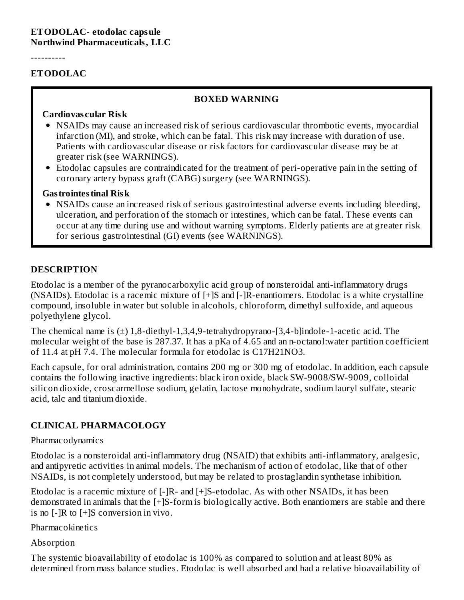#### **ETODOLAC- etodolac capsule Northwind Pharmaceuticals, LLC**

----------

#### **ETODOLAC**

#### **BOXED WARNING**

#### **Cardiovas cular Risk**

- NSAIDs may cause an increased risk of serious cardiovascular thrombotic events, myocardial infarction (MI), and stroke, which can be fatal. This risk may increase with duration of use. Patients with cardiovascular disease or risk factors for cardiovascular disease may be at greater risk (see WARNINGS).
- Etodolac capsules are contraindicated for the treatment of peri-operative pain in the setting of coronary artery bypass graft (CABG) surgery (see WARNINGS).

#### **Gastrointestinal Risk**

• NSAIDs cause an increased risk of serious gastrointestinal adverse events including bleeding, ulceration, and perforation of the stomach or intestines, which can be fatal. These events can occur at any time during use and without warning symptoms. Elderly patients are at greater risk for serious gastrointestinal (GI) events (see WARNINGS).

#### **DESCRIPTION**

Etodolac is a member of the pyranocarboxylic acid group of nonsteroidal anti-inflammatory drugs (NSAIDs). Etodolac is a racemic mixture of [+]S and [-]R-enantiomers. Etodolac is a white crystalline compound, insoluble in water but soluble in alcohols, chloroform, dimethyl sulfoxide, and aqueous polyethylene glycol.

The chemical name is  $(\pm)$  1,8-diethyl-1,3,4,9-tetrahydropyrano-[3,4-b]indole-1-acetic acid. The molecular weight of the base is 287.37. It has a pKa of 4.65 and an n-octanol:water partition coefficient of 11.4 at pH 7.4. The molecular formula for etodolac is C17H21NO3.

Each capsule, for oral administration, contains 200 mg or 300 mg of etodolac. In addition, each capsule contains the following inactive ingredients: black iron oxide, black SW-9008/SW-9009, colloidal silicon dioxide, croscarmellose sodium, gelatin, lactose monohydrate, sodium lauryl sulfate, stearic acid, talc and titanium dioxide.

#### **CLINICAL PHARMACOLOGY**

#### Pharmacodynamics

Etodolac is a nonsteroidal anti-inflammatory drug (NSAID) that exhibits anti-inflammatory, analgesic, and antipyretic activities in animal models. The mechanism of action of etodolac, like that of other NSAIDs, is not completely understood, but may be related to prostaglandin synthetase inhibition.

Etodolac is a racemic mixture of [-]R- and [+]S-etodolac. As with other NSAIDs, it has been demonstrated in animals that the [+]S-form is biologically active. Both enantiomers are stable and there is no  $[-]R$  to  $[+]S$  conversion in vivo.

Pharmacokinetics

Absorption

The systemic bioavailability of etodolac is 100% as compared to solution and at least 80% as determined from mass balance studies. Etodolac is well absorbed and had a relative bioavailability of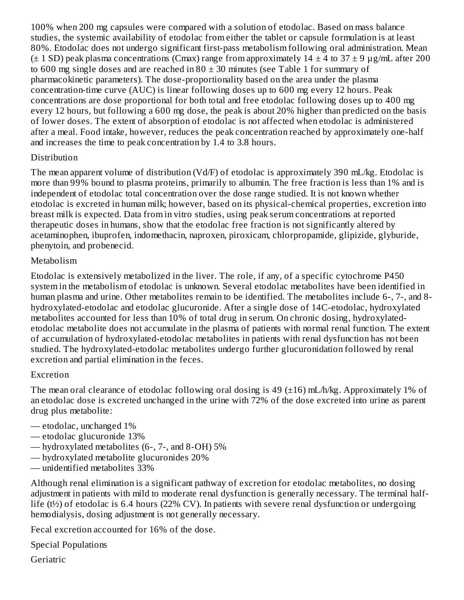100% when 200 mg capsules were compared with a solution of etodolac. Based on mass balance studies, the systemic availability of etodolac from either the tablet or capsule formulation is at least 80%. Etodolac does not undergo significant first-pass metabolism following oral administration. Mean  $(\pm 1$  SD) peak plasma concentrations (Cmax) range from approximately 14  $\pm$  4 to 37  $\pm$  9 µg/mL after 200 to 600 mg single doses and are reached in 80  $\pm$  30 minutes (see Table 1 for summary of pharmacokinetic parameters). The dose-proportionality based on the area under the plasma concentration-time curve (AUC) is linear following doses up to 600 mg every 12 hours. Peak concentrations are dose proportional for both total and free etodolac following doses up to 400 mg every 12 hours, but following a 600 mg dose, the peak is about 20% higher than predicted on the basis of lower doses. The extent of absorption of etodolac is not affected when etodolac is administered after a meal. Food intake, however, reduces the peak concentration reached by approximately one-half and increases the time to peak concentration by 1.4 to 3.8 hours.

#### **Distribution**

The mean apparent volume of distribution (Vd/F) of etodolac is approximately 390 mL/kg. Etodolac is more than 99% bound to plasma proteins, primarily to albumin. The free fraction is less than 1% and is independent of etodolac total concentration over the dose range studied. It is not known whether etodolac is excreted in human milk; however, based on its physical-chemical properties, excretion into breast milk is expected. Data from in vitro studies, using peak serum concentrations at reported therapeutic doses in humans, show that the etodolac free fraction is not significantly altered by acetaminophen, ibuprofen, indomethacin, naproxen, piroxicam, chlorpropamide, glipizide, glyburide, phenytoin, and probenecid.

#### Metabolism

Etodolac is extensively metabolized in the liver. The role, if any, of a specific cytochrome P450 system in the metabolism of etodolac is unknown. Several etodolac metabolites have been identified in human plasma and urine. Other metabolites remain to be identified. The metabolites include 6-, 7-, and 8 hydroxylated-etodolac and etodolac glucuronide. After a single dose of 14C-etodolac, hydroxylated metabolites accounted for less than 10% of total drug in serum. On chronic dosing, hydroxylatedetodolac metabolite does not accumulate in the plasma of patients with normal renal function. The extent of accumulation of hydroxylated-etodolac metabolites in patients with renal dysfunction has not been studied. The hydroxylated-etodolac metabolites undergo further glucuronidation followed by renal excretion and partial elimination in the feces.

#### Excretion

The mean oral clearance of etodolac following oral dosing is 49  $(\pm 16)$  mL/h/kg. Approximately 1% of an etodolac dose is excreted unchanged in the urine with 72% of the dose excreted into urine as parent drug plus metabolite:

- etodolac, unchanged 1%
- etodolac glucuronide 13%
- hydroxylated metabolites (6-, 7-, and 8-OH) 5%
- hydroxylated metabolite glucuronides 20%
- unidentified metabolites 33%

Although renal elimination is a significant pathway of excretion for etodolac metabolites, no dosing adjustment in patients with mild to moderate renal dysfunction is generally necessary. The terminal halflife (t½) of etodolac is 6.4 hours (22% CV). In patients with severe renal dysfunction or undergoing hemodialysis, dosing adjustment is not generally necessary.

Fecal excretion accounted for 16% of the dose.

Special Populations

Geriatric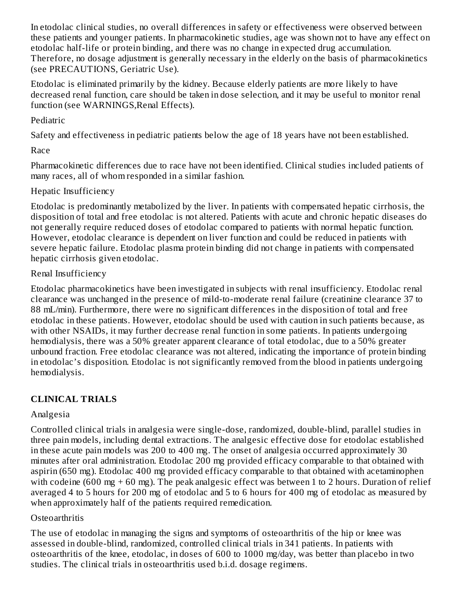In etodolac clinical studies, no overall differences in safety or effectiveness were observed between these patients and younger patients. In pharmacokinetic studies, age was shown not to have any effect on etodolac half-life or protein binding, and there was no change in expected drug accumulation. Therefore, no dosage adjustment is generally necessary in the elderly on the basis of pharmacokinetics (see PRECAUTIONS, Geriatric Use).

Etodolac is eliminated primarily by the kidney. Because elderly patients are more likely to have decreased renal function, care should be taken in dose selection, and it may be useful to monitor renal function (see WARNINGS,Renal Effects).

### Pediatric

Safety and effectiveness in pediatric patients below the age of 18 years have not been established.

### Race

Pharmacokinetic differences due to race have not been identified. Clinical studies included patients of many races, all of whom responded in a similar fashion.

## Hepatic Insufficiency

Etodolac is predominantly metabolized by the liver. In patients with compensated hepatic cirrhosis, the disposition of total and free etodolac is not altered. Patients with acute and chronic hepatic diseases do not generally require reduced doses of etodolac compared to patients with normal hepatic function. However, etodolac clearance is dependent on liver function and could be reduced in patients with severe hepatic failure. Etodolac plasma protein binding did not change in patients with compensated hepatic cirrhosis given etodolac.

### Renal Insufficiency

Etodolac pharmacokinetics have been investigated in subjects with renal insufficiency. Etodolac renal clearance was unchanged in the presence of mild-to-moderate renal failure (creatinine clearance 37 to 88 mL/min). Furthermore, there were no significant differences in the disposition of total and free etodolac in these patients. However, etodolac should be used with caution in such patients because, as with other NSAIDs, it may further decrease renal function in some patients. In patients undergoing hemodialysis, there was a 50% greater apparent clearance of total etodolac, due to a 50% greater unbound fraction. Free etodolac clearance was not altered, indicating the importance of protein binding in etodolac's disposition. Etodolac is not significantly removed from the blood in patients undergoing hemodialysis.

# **CLINICAL TRIALS**

# Analgesia

Controlled clinical trials in analgesia were single-dose, randomized, double-blind, parallel studies in three pain models, including dental extractions. The analgesic effective dose for etodolac established in these acute pain models was 200 to 400 mg. The onset of analgesia occurred approximately 30 minutes after oral administration. Etodolac 200 mg provided efficacy comparable to that obtained with aspirin (650 mg). Etodolac 400 mg provided efficacy comparable to that obtained with acetaminophen with codeine (600 mg  $+60$  mg). The peak analgesic effect was between 1 to 2 hours. Duration of relief averaged 4 to 5 hours for 200 mg of etodolac and 5 to 6 hours for 400 mg of etodolac as measured by when approximately half of the patients required remedication.

## **Osteoarthritis**

The use of etodolac in managing the signs and symptoms of osteoarthritis of the hip or knee was assessed in double-blind, randomized, controlled clinical trials in 341 patients. In patients with osteoarthritis of the knee, etodolac, in doses of 600 to 1000 mg/day, was better than placebo in two studies. The clinical trials in osteoarthritis used b.i.d. dosage regimens.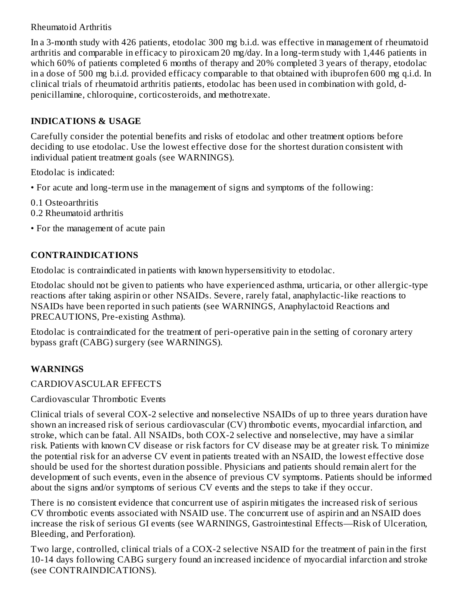### Rheumatoid Arthritis

In a 3-month study with 426 patients, etodolac 300 mg b.i.d. was effective in management of rheumatoid arthritis and comparable in efficacy to piroxicam 20 mg/day. In a long-term study with 1,446 patients in which 60% of patients completed 6 months of therapy and 20% completed 3 years of therapy, etodolac in a dose of 500 mg b.i.d. provided efficacy comparable to that obtained with ibuprofen 600 mg q.i.d. In clinical trials of rheumatoid arthritis patients, etodolac has been used in combination with gold, dpenicillamine, chloroquine, corticosteroids, and methotrexate.

## **INDICATIONS & USAGE**

Carefully consider the potential benefits and risks of etodolac and other treatment options before deciding to use etodolac. Use the lowest effective dose for the shortest duration consistent with individual patient treatment goals (see WARNINGS).

Etodolac is indicated:

• For acute and long-term use in the management of signs and symptoms of the following:

- 0.1 Osteoarthritis
- 0.2 Rheumatoid arthritis
- For the management of acute pain

## **CONTRAINDICATIONS**

Etodolac is contraindicated in patients with known hypersensitivity to etodolac.

Etodolac should not be given to patients who have experienced asthma, urticaria, or other allergic-type reactions after taking aspirin or other NSAIDs. Severe, rarely fatal, anaphylactic-like reactions to NSAIDs have been reported in such patients (see WARNINGS, Anaphylactoid Reactions and PRECAUTIONS, Pre-existing Asthma).

Etodolac is contraindicated for the treatment of peri-operative pain in the setting of coronary artery bypass graft (CABG) surgery (see WARNINGS).

# **WARNINGS**

CARDIOVASCULAR EFFECTS

## Cardiovascular Thrombotic Events

Clinical trials of several COX-2 selective and nonselective NSAIDs of up to three years duration have shown an increased risk of serious cardiovascular (CV) thrombotic events, myocardial infarction, and stroke, which can be fatal. All NSAIDs, both COX-2 selective and nonselective, may have a similar risk. Patients with known CV disease or risk factors for CV disease may be at greater risk. To minimize the potential risk for an adverse CV event in patients treated with an NSAID, the lowest effective dose should be used for the shortest duration possible. Physicians and patients should remain alert for the development of such events, even in the absence of previous CV symptoms. Patients should be informed about the signs and/or symptoms of serious CV events and the steps to take if they occur.

There is no consistent evidence that concurrent use of aspirin mitigates the increased risk of serious CV thrombotic events associated with NSAID use. The concurrent use of aspirin and an NSAID does increase the risk of serious GI events (see WARNINGS, Gastrointestinal Effects—Risk of Ulceration, Bleeding, and Perforation).

Two large, controlled, clinical trials of a COX-2 selective NSAID for the treatment of pain in the first 10-14 days following CABG surgery found an increased incidence of myocardial infarction and stroke (see CONTRAINDICATIONS).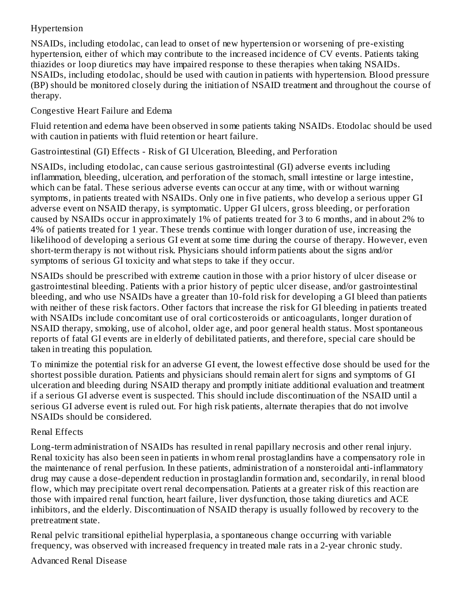### Hypertension

NSAIDs, including etodolac, can lead to onset of new hypertension or worsening of pre-existing hypertension, either of which may contribute to the increased incidence of CV events. Patients taking thiazides or loop diuretics may have impaired response to these therapies when taking NSAIDs. NSAIDs, including etodolac, should be used with caution in patients with hypertension. Blood pressure (BP) should be monitored closely during the initiation of NSAID treatment and throughout the course of therapy.

Congestive Heart Failure and Edema

Fluid retention and edema have been observed in some patients taking NSAIDs. Etodolac should be used with caution in patients with fluid retention or heart failure.

Gastrointestinal (GI) Effects - Risk of GI Ulceration, Bleeding, and Perforation

NSAIDs, including etodolac, can cause serious gastrointestinal (GI) adverse events including inflammation, bleeding, ulceration, and perforation of the stomach, small intestine or large intestine, which can be fatal. These serious adverse events can occur at any time, with or without warning symptoms, in patients treated with NSAIDs. Only one in five patients, who develop a serious upper GI adverse event on NSAID therapy, is symptomatic. Upper GI ulcers, gross bleeding, or perforation caused by NSAIDs occur in approximately 1% of patients treated for 3 to 6 months, and in about 2% to 4% of patients treated for 1 year. These trends continue with longer duration of use, increasing the likelihood of developing a serious GI event at some time during the course of therapy. However, even short-term therapy is not without risk. Physicians should inform patients about the signs and/or symptoms of serious GI toxicity and what steps to take if they occur.

NSAIDs should be prescribed with extreme caution in those with a prior history of ulcer disease or gastrointestinal bleeding. Patients with a prior history of peptic ulcer disease, and/or gastrointestinal bleeding, and who use NSAIDs have a greater than 10-fold risk for developing a GI bleed than patients with neither of these risk factors. Other factors that increase the risk for GI bleeding in patients treated with NSAIDs include concomitant use of oral corticosteroids or anticoagulants, longer duration of NSAID therapy, smoking, use of alcohol, older age, and poor general health status. Most spontaneous reports of fatal GI events are in elderly of debilitated patients, and therefore, special care should be taken in treating this population.

To minimize the potential risk for an adverse GI event, the lowest effective dose should be used for the shortest possible duration. Patients and physicians should remain alert for signs and symptoms of GI ulceration and bleeding during NSAID therapy and promptly initiate additional evaluation and treatment if a serious GI adverse event is suspected. This should include discontinuation of the NSAID until a serious GI adverse event is ruled out. For high risk patients, alternate therapies that do not involve NSAIDs should be considered.

## Renal Effects

Long-term administration of NSAIDs has resulted in renal papillary necrosis and other renal injury. Renal toxicity has also been seen in patients in whom renal prostaglandins have a compensatory role in the maintenance of renal perfusion. In these patients, administration of a nonsteroidal anti-inflammatory drug may cause a dose-dependent reduction in prostaglandin formation and, secondarily, in renal blood flow, which may precipitate overt renal decompensation. Patients at a greater risk of this reaction are those with impaired renal function, heart failure, liver dysfunction, those taking diuretics and ACE inhibitors, and the elderly. Discontinuation of NSAID therapy is usually followed by recovery to the pretreatment state.

Renal pelvic transitional epithelial hyperplasia, a spontaneous change occurring with variable frequency, was observed with increased frequency in treated male rats in a 2-year chronic study.

Advanced Renal Disease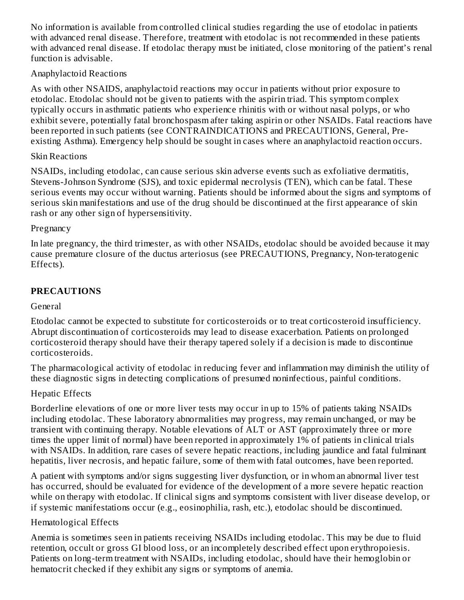No information is available from controlled clinical studies regarding the use of etodolac in patients with advanced renal disease. Therefore, treatment with etodolac is not recommended in these patients with advanced renal disease. If etodolac therapy must be initiated, close monitoring of the patient's renal function is advisable.

### Anaphylactoid Reactions

As with other NSAIDS, anaphylactoid reactions may occur in patients without prior exposure to etodolac. Etodolac should not be given to patients with the aspirin triad. This symptom complex typically occurs in asthmatic patients who experience rhinitis with or without nasal polyps, or who exhibit severe, potentially fatal bronchospasm after taking aspirin or other NSAIDs. Fatal reactions have been reported in such patients (see CONTRAINDICATIONS and PRECAUTIONS, General, Preexisting Asthma). Emergency help should be sought in cases where an anaphylactoid reaction occurs.

### Skin Reactions

NSAIDs, including etodolac, can cause serious skin adverse events such as exfoliative dermatitis, Stevens-Johnson Syndrome (SJS), and toxic epidermal necrolysis (TEN), which can be fatal. These serious events may occur without warning. Patients should be informed about the signs and symptoms of serious skin manifestations and use of the drug should be discontinued at the first appearance of skin rash or any other sign of hypersensitivity.

#### Pregnancy

In late pregnancy, the third trimester, as with other NSAIDs, etodolac should be avoided because it may cause premature closure of the ductus arteriosus (see PRECAUTIONS, Pregnancy, Non-teratogenic Effects).

# **PRECAUTIONS**

## General

Etodolac cannot be expected to substitute for corticosteroids or to treat corticosteroid insufficiency. Abrupt discontinuation of corticosteroids may lead to disease exacerbation. Patients on prolonged corticosteroid therapy should have their therapy tapered solely if a decision is made to discontinue corticosteroids.

The pharmacological activity of etodolac in reducing fever and inflammation may diminish the utility of these diagnostic signs in detecting complications of presumed noninfectious, painful conditions.

## Hepatic Effects

Borderline elevations of one or more liver tests may occur in up to 15% of patients taking NSAIDs including etodolac. These laboratory abnormalities may progress, may remain unchanged, or may be transient with continuing therapy. Notable elevations of ALT or AST (approximately three or more times the upper limit of normal) have been reported in approximately 1% of patients in clinical trials with NSAIDs. In addition, rare cases of severe hepatic reactions, including jaundice and fatal fulminant hepatitis, liver necrosis, and hepatic failure, some of them with fatal outcomes, have been reported.

A patient with symptoms and/or signs suggesting liver dysfunction, or in whom an abnormal liver test has occurred, should be evaluated for evidence of the development of a more severe hepatic reaction while on therapy with etodolac. If clinical signs and symptoms consistent with liver disease develop, or if systemic manifestations occur (e.g., eosinophilia, rash, etc.), etodolac should be discontinued.

## Hematological Effects

Anemia is sometimes seen in patients receiving NSAIDs including etodolac. This may be due to fluid retention, occult or gross GI blood loss, or an incompletely described effect upon erythropoiesis. Patients on long-term treatment with NSAIDs, including etodolac, should have their hemoglobin or hematocrit checked if they exhibit any signs or symptoms of anemia.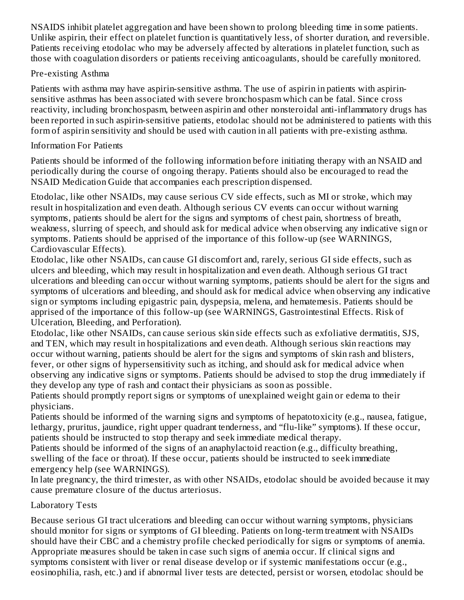NSAIDS inhibit platelet aggregation and have been shown to prolong bleeding time in some patients. Unlike aspirin, their effect on platelet function is quantitatively less, of shorter duration, and reversible. Patients receiving etodolac who may be adversely affected by alterations in platelet function, such as those with coagulation disorders or patients receiving anticoagulants, should be carefully monitored.

### Pre-existing Asthma

Patients with asthma may have aspirin-sensitive asthma. The use of aspirin in patients with aspirinsensitive asthmas has been associated with severe bronchospasm which can be fatal. Since cross reactivity, including bronchospasm, between aspirin and other nonsteroidal anti-inflammatory drugs has been reported in such aspirin-sensitive patients, etodolac should not be administered to patients with this form of aspirin sensitivity and should be used with caution in all patients with pre-existing asthma.

### Information For Patients

Patients should be informed of the following information before initiating therapy with an NSAID and periodically during the course of ongoing therapy. Patients should also be encouraged to read the NSAID Medication Guide that accompanies each prescription dispensed.

Etodolac, like other NSAIDs, may cause serious CV side effects, such as MI or stroke, which may result in hospitalization and even death. Although serious CV events can occur without warning symptoms, patients should be alert for the signs and symptoms of chest pain, shortness of breath, weakness, slurring of speech, and should ask for medical advice when observing any indicative sign or symptoms. Patients should be apprised of the importance of this follow-up (see WARNINGS, Cardiovascular Effects).

Etodolac, like other NSAIDs, can cause GI discomfort and, rarely, serious GI side effects, such as ulcers and bleeding, which may result in hospitalization and even death. Although serious GI tract ulcerations and bleeding can occur without warning symptoms, patients should be alert for the signs and symptoms of ulcerations and bleeding, and should ask for medical advice when observing any indicative sign or symptoms including epigastric pain, dyspepsia, melena, and hematemesis. Patients should be apprised of the importance of this follow-up (see WARNINGS, Gastrointestinal Effects. Risk of Ulceration, Bleeding, and Perforation).

Etodolac, like other NSAIDs, can cause serious skin side effects such as exfoliative dermatitis, SJS, and TEN, which may result in hospitalizations and even death. Although serious skin reactions may occur without warning, patients should be alert for the signs and symptoms of skin rash and blisters, fever, or other signs of hypersensitivity such as itching, and should ask for medical advice when observing any indicative signs or symptoms. Patients should be advised to stop the drug immediately if they develop any type of rash and contact their physicians as soon as possible.

Patients should promptly report signs or symptoms of unexplained weight gain or edema to their physicians.

Patients should be informed of the warning signs and symptoms of hepatotoxicity (e.g., nausea, fatigue, lethargy, pruritus, jaundice, right upper quadrant tenderness, and "flu-like" symptoms). If these occur, patients should be instructed to stop therapy and seek immediate medical therapy.

Patients should be informed of the signs of an anaphylactoid reaction (e.g., difficulty breathing, swelling of the face or throat). If these occur, patients should be instructed to seek immediate emergency help (see WARNINGS).

In late pregnancy, the third trimester, as with other NSAIDs, etodolac should be avoided because it may cause premature closure of the ductus arteriosus.

## Laboratory Tests

Because serious GI tract ulcerations and bleeding can occur without warning symptoms, physicians should monitor for signs or symptoms of GI bleeding. Patients on long-term treatment with NSAIDs should have their CBC and a chemistry profile checked periodically for signs or symptoms of anemia. Appropriate measures should be taken in case such signs of anemia occur. If clinical signs and symptoms consistent with liver or renal disease develop or if systemic manifestations occur (e.g., eosinophilia, rash, etc.) and if abnormal liver tests are detected, persist or worsen, etodolac should be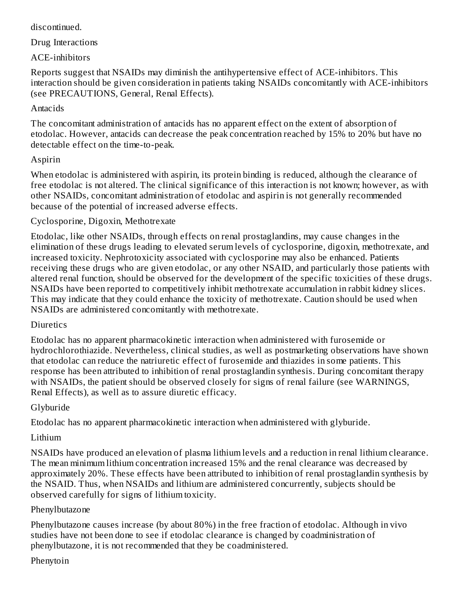### discontinued.

Drug Interactions

ACE-inhibitors

Reports suggest that NSAIDs may diminish the antihypertensive effect of ACE-inhibitors. This interaction should be given consideration in patients taking NSAIDs concomitantly with ACE-inhibitors (see PRECAUTIONS, General, Renal Effects).

### Antacids

The concomitant administration of antacids has no apparent effect on the extent of absorption of etodolac. However, antacids can decrease the peak concentration reached by 15% to 20% but have no detectable effect on the time-to-peak.

## Aspirin

When etodolac is administered with aspirin, its protein binding is reduced, although the clearance of free etodolac is not altered. The clinical significance of this interaction is not known; however, as with other NSAIDs, concomitant administration of etodolac and aspirin is not generally recommended because of the potential of increased adverse effects.

### Cyclosporine, Digoxin, Methotrexate

Etodolac, like other NSAIDs, through effects on renal prostaglandins, may cause changes in the elimination of these drugs leading to elevated serum levels of cyclosporine, digoxin, methotrexate, and increased toxicity. Nephrotoxicity associated with cyclosporine may also be enhanced. Patients receiving these drugs who are given etodolac, or any other NSAID, and particularly those patients with altered renal function, should be observed for the development of the specific toxicities of these drugs. NSAIDs have been reported to competitively inhibit methotrexate accumulation in rabbit kidney slices. This may indicate that they could enhance the toxicity of methotrexate. Caution should be used when NSAIDs are administered concomitantly with methotrexate.

## **Diuretics**

Etodolac has no apparent pharmacokinetic interaction when administered with furosemide or hydrochlorothiazide. Nevertheless, clinical studies, as well as postmarketing observations have shown that etodolac can reduce the natriuretic effect of furosemide and thiazides in some patients. This response has been attributed to inhibition of renal prostaglandin synthesis. During concomitant therapy with NSAIDs, the patient should be observed closely for signs of renal failure (see WARNINGS, Renal Effects), as well as to assure diuretic efficacy.

## Glyburide

Etodolac has no apparent pharmacokinetic interaction when administered with glyburide.

## Lithium

NSAIDs have produced an elevation of plasma lithium levels and a reduction in renal lithium clearance. The mean minimum lithium concentration increased 15% and the renal clearance was decreased by approximately 20%. These effects have been attributed to inhibition of renal prostaglandin synthesis by the NSAID. Thus, when NSAIDs and lithium are administered concurrently, subjects should be observed carefully for signs of lithium toxicity.

## Phenylbutazone

Phenylbutazone causes increase (by about 80%) in the free fraction of etodolac. Although in vivo studies have not been done to see if etodolac clearance is changed by coadministration of phenylbutazone, it is not recommended that they be coadministered.

## Phenytoin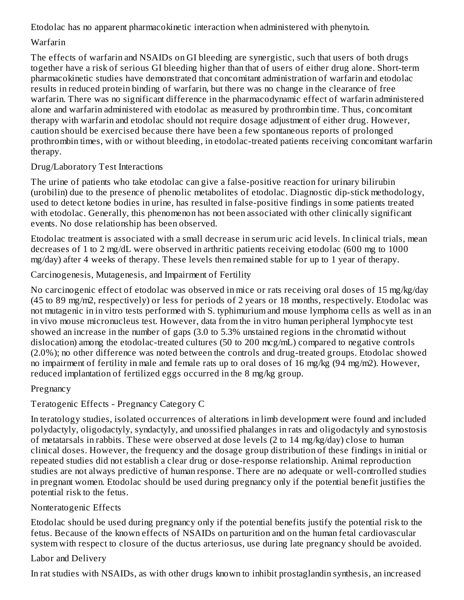Etodolac has no apparent pharmacokinetic interaction when administered with phenytoin.

### Warfarin

The effects of warfarin and NSAIDs on GI bleeding are synergistic, such that users of both drugs together have a risk of serious GI bleeding higher than that of users of either drug alone. Short-term pharmacokinetic studies have demonstrated that concomitant administration of warfarin and etodolac results in reduced protein binding of warfarin, but there was no change in the clearance of free warfarin. There was no significant difference in the pharmacodynamic effect of warfarin administered alone and warfarin administered with etodolac as measured by prothrombin time. Thus, concomitant therapy with warfarin and etodolac should not require dosage adjustment of either drug. However, caution should be exercised because there have been a few spontaneous reports of prolonged prothrombin times, with or without bleeding, in etodolac-treated patients receiving concomitant warfarin therapy.

### Drug/Laboratory Test Interactions

The urine of patients who take etodolac can give a false-positive reaction for urinary bilirubin (urobilin) due to the presence of phenolic metabolites of etodolac. Diagnostic dip-stick methodology, used to detect ketone bodies in urine, has resulted in false-positive findings in some patients treated with etodolac. Generally, this phenomenon has not been associated with other clinically significant events. No dose relationship has been observed.

Etodolac treatment is associated with a small decrease in serum uric acid levels. In clinical trials, mean decreases of 1 to 2 mg/dL were observed in arthritic patients receiving etodolac (600 mg to 1000 mg/day) after 4 weeks of therapy. These levels then remained stable for up to 1 year of therapy.

Carcinogenesis, Mutagenesis, and Impairment of Fertility

No carcinogenic effect of etodolac was observed in mice or rats receiving oral doses of 15 mg/kg/day (45 to 89 mg/m2, respectively) or less for periods of 2 years or 18 months, respectively. Etodolac was not mutagenic in in vitro tests performed with S. typhimurium and mouse lymphoma cells as well as in an in vivo mouse micronucleus test. However, data from the in vitro human peripheral lymphocyte test showed an increase in the number of gaps (3.0 to 5.3% unstained regions in the chromatid without dislocation) among the etodolac-treated cultures (50 to 200 mcg/mL) compared to negative controls (2.0%); no other difference was noted between the controls and drug-treated groups. Etodolac showed no impairment of fertility in male and female rats up to oral doses of 16 mg/kg (94 mg/m2). However, reduced implantation of fertilized eggs occurred in the 8 mg/kg group.

## Pregnancy

## Teratogenic Effects - Pregnancy Category C

In teratology studies, isolated occurrences of alterations in limb development were found and included polydactyly, oligodactyly, syndactyly, and unossified phalanges in rats and oligodactyly and synostosis of metatarsals in rabbits. These were observed at dose levels (2 to 14 mg/kg/day) close to human clinical doses. However, the frequency and the dosage group distribution of these findings in initial or repeated studies did not establish a clear drug or dose-response relationship. Animal reproduction studies are not always predictive of human response. There are no adequate or well-controlled studies in pregnant women. Etodolac should be used during pregnancy only if the potential benefit justifies the potential risk to the fetus.

## Nonteratogenic Effects

Etodolac should be used during pregnancy only if the potential benefits justify the potential risk to the fetus. Because of the known effects of NSAIDs on parturition and on the human fetal cardiovascular system with respect to closure of the ductus arteriosus, use during late pregnancy should be avoided.

## Labor and Delivery

In rat studies with NSAIDs, as with other drugs known to inhibit prostaglandin synthesis, an increased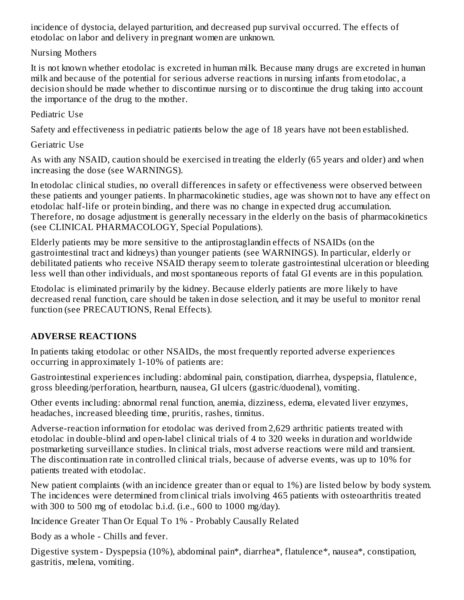incidence of dystocia, delayed parturition, and decreased pup survival occurred. The effects of etodolac on labor and delivery in pregnant women are unknown.

Nursing Mothers

It is not known whether etodolac is excreted in human milk. Because many drugs are excreted in human milk and because of the potential for serious adverse reactions in nursing infants from etodolac, a decision should be made whether to discontinue nursing or to discontinue the drug taking into account the importance of the drug to the mother.

## Pediatric Use

Safety and effectiveness in pediatric patients below the age of 18 years have not been established.

# Geriatric Use

As with any NSAID, caution should be exercised in treating the elderly (65 years and older) and when increasing the dose (see WARNINGS).

In etodolac clinical studies, no overall differences in safety or effectiveness were observed between these patients and younger patients. In pharmacokinetic studies, age was shown not to have any effect on etodolac half-life or protein binding, and there was no change in expected drug accumulation. Therefore, no dosage adjustment is generally necessary in the elderly on the basis of pharmacokinetics (see CLINICAL PHARMACOLOGY, Special Populations).

Elderly patients may be more sensitive to the antiprostaglandin effects of NSAIDs (on the gastrointestinal tract and kidneys) than younger patients (see WARNINGS). In particular, elderly or debilitated patients who receive NSAID therapy seem to tolerate gastrointestinal ulceration or bleeding less well than other individuals, and most spontaneous reports of fatal GI events are in this population.

Etodolac is eliminated primarily by the kidney. Because elderly patients are more likely to have decreased renal function, care should be taken in dose selection, and it may be useful to monitor renal function (see PRECAUTIONS, Renal Effects).

# **ADVERSE REACTIONS**

In patients taking etodolac or other NSAIDs, the most frequently reported adverse experiences occurring in approximately 1-10% of patients are:

Gastrointestinal experiences including: abdominal pain, constipation, diarrhea, dyspepsia, flatulence, gross bleeding/perforation, heartburn, nausea, GI ulcers (gastric/duodenal), vomiting.

Other events including: abnormal renal function, anemia, dizziness, edema, elevated liver enzymes, headaches, increased bleeding time, pruritis, rashes, tinnitus.

Adverse-reaction information for etodolac was derived from 2,629 arthritic patients treated with etodolac in double-blind and open-label clinical trials of 4 to 320 weeks in duration and worldwide postmarketing surveillance studies. In clinical trials, most adverse reactions were mild and transient. The discontinuation rate in controlled clinical trials, because of adverse events, was up to 10% for patients treated with etodolac.

New patient complaints (with an incidence greater than or equal to 1%) are listed below by body system. The incidences were determined from clinical trials involving 465 patients with osteoarthritis treated with 300 to 500 mg of etodolac b.i.d. (i.e., 600 to 1000 mg/day).

Incidence Greater Than Or Equal To 1% - Probably Causally Related

Body as a whole - Chills and fever.

Digestive system - Dyspepsia (10%), abdominal pain\*, diarrhea\*, flatulence\*, nausea\*, constipation, gastritis, melena, vomiting.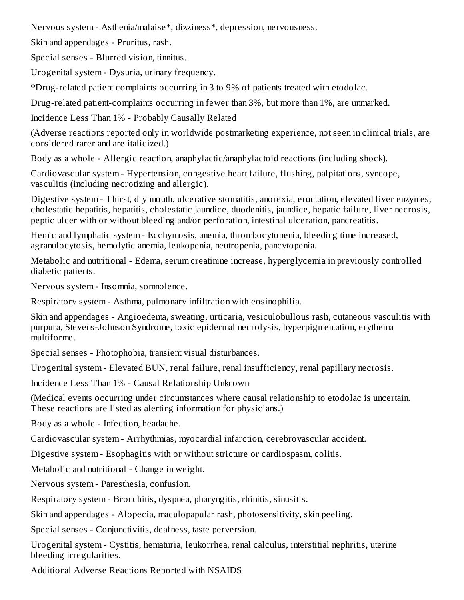Nervous system - Asthenia/malaise\*, dizziness\*, depression, nervousness.

Skin and appendages - Pruritus, rash.

Special senses - Blurred vision, tinnitus.

Urogenital system - Dysuria, urinary frequency.

\*Drug-related patient complaints occurring in 3 to 9% of patients treated with etodolac.

Drug-related patient-complaints occurring in fewer than 3%, but more than 1%, are unmarked.

Incidence Less Than 1% - Probably Causally Related

(Adverse reactions reported only in worldwide postmarketing experience, not seen in clinical trials, are considered rarer and are italicized.)

Body as a whole - Allergic reaction, anaphylactic/anaphylactoid reactions (including shock).

Cardiovascular system - Hypertension, congestive heart failure, flushing, palpitations, syncope, vasculitis (including necrotizing and allergic).

Digestive system - Thirst, dry mouth, ulcerative stomatitis, anorexia, eructation, elevated liver enzymes, cholestatic hepatitis, hepatitis, cholestatic jaundice, duodenitis, jaundice, hepatic failure, liver necrosis, peptic ulcer with or without bleeding and/or perforation, intestinal ulceration, pancreatitis.

Hemic and lymphatic system - Ecchymosis, anemia, thrombocytopenia, bleeding time increased, agranulocytosis, hemolytic anemia, leukopenia, neutropenia, pancytopenia.

Metabolic and nutritional - Edema, serum creatinine increase, hyperglycemia in previously controlled diabetic patients.

Nervous system - Insomnia, somnolence.

Respiratory system - Asthma, pulmonary infiltration with eosinophilia.

Skin and appendages - Angioedema, sweating, urticaria, vesiculobullous rash, cutaneous vasculitis with purpura, Stevens-Johnson Syndrome, toxic epidermal necrolysis, hyperpigmentation, erythema multiforme.

Special senses - Photophobia, transient visual disturbances.

Urogenital system - Elevated BUN, renal failure, renal insufficiency, renal papillary necrosis.

Incidence Less Than 1% - Causal Relationship Unknown

(Medical events occurring under circumstances where causal relationship to etodolac is uncertain. These reactions are listed as alerting information for physicians.)

Body as a whole - Infection, headache.

Cardiovascular system - Arrhythmias, myocardial infarction, cerebrovascular accident.

Digestive system - Esophagitis with or without stricture or cardiospasm, colitis.

Metabolic and nutritional - Change in weight.

Nervous system - Paresthesia, confusion.

Respiratory system - Bronchitis, dyspnea, pharyngitis, rhinitis, sinusitis.

Skin and appendages - Alopecia, maculopapular rash, photosensitivity, skin peeling.

Special senses - Conjunctivitis, deafness, taste perversion.

Urogenital system - Cystitis, hematuria, leukorrhea, renal calculus, interstitial nephritis, uterine bleeding irregularities.

Additional Adverse Reactions Reported with NSAIDS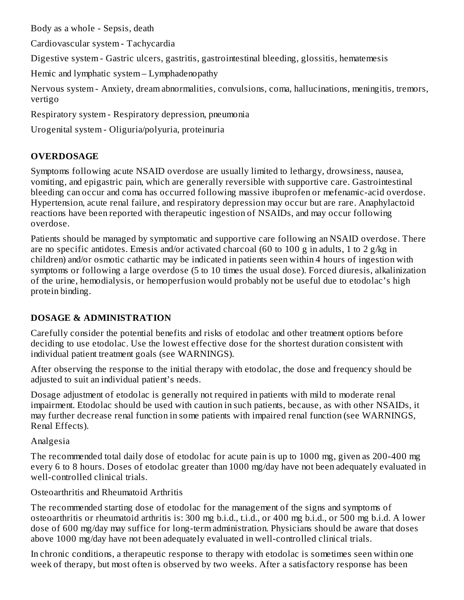Body as a whole - Sepsis, death

Cardiovascular system - Tachycardia

Digestive system - Gastric ulcers, gastritis, gastrointestinal bleeding, glossitis, hematemesis

Hemic and lymphatic system – Lymphadenopathy

Nervous system - Anxiety, dream abnormalities, convulsions, coma, hallucinations, meningitis, tremors, vertigo

Respiratory system - Respiratory depression, pneumonia

Urogenital system - Oliguria/polyuria, proteinuria

# **OVERDOSAGE**

Symptoms following acute NSAID overdose are usually limited to lethargy, drowsiness, nausea, vomiting, and epigastric pain, which are generally reversible with supportive care. Gastrointestinal bleeding can occur and coma has occurred following massive ibuprofen or mefenamic-acid overdose. Hypertension, acute renal failure, and respiratory depression may occur but are rare. Anaphylactoid reactions have been reported with therapeutic ingestion of NSAIDs, and may occur following overdose.

Patients should be managed by symptomatic and supportive care following an NSAID overdose. There are no specific antidotes. Emesis and/or activated charcoal (60 to 100 g in adults, 1 to 2 g/kg in children) and/or osmotic cathartic may be indicated in patients seen within 4 hours of ingestion with symptoms or following a large overdose (5 to 10 times the usual dose). Forced diuresis, alkalinization of the urine, hemodialysis, or hemoperfusion would probably not be useful due to etodolac's high protein binding.

#### **DOSAGE & ADMINISTRATION**

Carefully consider the potential benefits and risks of etodolac and other treatment options before deciding to use etodolac. Use the lowest effective dose for the shortest duration consistent with individual patient treatment goals (see WARNINGS).

After observing the response to the initial therapy with etodolac, the dose and frequency should be adjusted to suit an individual patient's needs.

Dosage adjustment of etodolac is generally not required in patients with mild to moderate renal impairment. Etodolac should be used with caution in such patients, because, as with other NSAIDs, it may further decrease renal function in some patients with impaired renal function (see WARNINGS, Renal Effects).

#### Analgesia

The recommended total daily dose of etodolac for acute pain is up to 1000 mg, given as 200-400 mg every 6 to 8 hours. Doses of etodolac greater than 1000 mg/day have not been adequately evaluated in well-controlled clinical trials.

Osteoarthritis and Rheumatoid Arthritis

The recommended starting dose of etodolac for the management of the signs and symptoms of osteoarthritis or rheumatoid arthritis is: 300 mg b.i.d., t.i.d., or 400 mg b.i.d., or 500 mg b.i.d. A lower dose of 600 mg/day may suffice for long-term administration. Physicians should be aware that doses above 1000 mg/day have not been adequately evaluated in well-controlled clinical trials.

In chronic conditions, a therapeutic response to therapy with etodolac is sometimes seen within one week of therapy, but most often is observed by two weeks. After a satisfactory response has been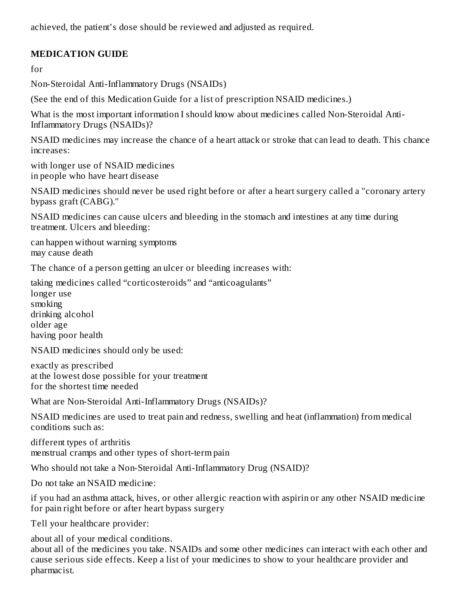achieved, the patient's dose should be reviewed and adjusted as required.

# **MEDICATION GUIDE**

for

Non-Steroidal Anti-Inflammatory Drugs (NSAIDs)

(See the end of this Medication Guide for a list of prescription NSAID medicines.)

What is the most important information I should know about medicines called Non-Steroidal Anti-Inflammatory Drugs (NSAIDs)?

NSAID medicines may increase the chance of a heart attack or stroke that can lead to death. This chance increases:

with longer use of NSAID medicines in people who have heart disease

NSAID medicines should never be used right before or after a heart surgery called a "coronary artery bypass graft (CABG)."

NSAID medicines can cause ulcers and bleeding in the stomach and intestines at any time during treatment. Ulcers and bleeding:

can happen without warning symptoms may cause death

The chance of a person getting an ulcer or bleeding increases with:

taking medicines called "corticosteroids" and "anticoagulants" longer use smoking drinking alcohol older age having poor health

NSAID medicines should only be used:

exactly as prescribed at the lowest dose possible for your treatment for the shortest time needed

What are Non-Steroidal Anti-Inflammatory Drugs (NSAIDs)?

NSAID medicines are used to treat pain and redness, swelling and heat (inflammation) from medical conditions such as:

different types of arthritis menstrual cramps and other types of short-term pain

Who should not take a Non-Steroidal Anti-Inflammatory Drug (NSAID)?

Do not take an NSAID medicine:

if you had an asthma attack, hives, or other allergic reaction with aspirin or any other NSAID medicine for pain right before or after heart bypass surgery

Tell your healthcare provider:

about all of your medical conditions.

about all of the medicines you take. NSAIDs and some other medicines can interact with each other and cause serious side effects. Keep a list of your medicines to show to your healthcare provider and pharmacist.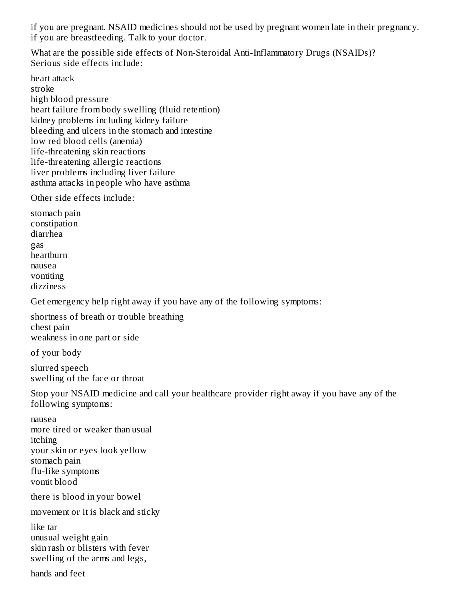if you are pregnant. NSAID medicines should not be used by pregnant women late in their pregnancy. if you are breastfeeding. Talk to your doctor.

What are the possible side effects of Non-Steroidal Anti-Inflammatory Drugs (NSAIDs)? Serious side effects include:

heart attack stroke high blood pressure heart failure from body swelling (fluid retention) kidney problems including kidney failure bleeding and ulcers in the stomach and intestine low red blood cells (anemia) life-threatening skin reactions life-threatening allergic reactions liver problems including liver failure asthma attacks in people who have asthma

Other side effects include:

stomach pain constipation diarrhea gas heartburn nausea vomiting dizziness

Get emergency help right away if you have any of the following symptoms:

shortness of breath or trouble breathing chest pain weakness in one part or side

of your body

slurred speech swelling of the face or throat

Stop your NSAID medicine and call your healthcare provider right away if you have any of the following symptoms:

nausea more tired or weaker than usual itching your skin or eyes look yellow stomach pain flu-like symptoms vomit blood

there is blood in your bowel

movement or it is black and sticky

like tar unusual weight gain skin rash or blisters with fever swelling of the arms and legs,

hands and feet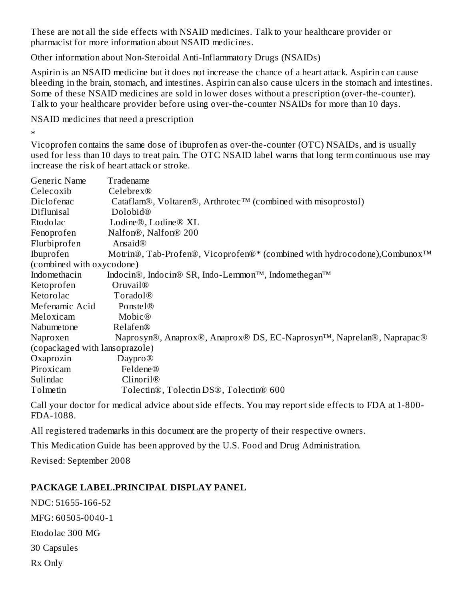These are not all the side effects with NSAID medicines. Talk to your healthcare provider or pharmacist for more information about NSAID medicines.

Other information about Non-Steroidal Anti-Inflammatory Drugs (NSAIDs)

Aspirin is an NSAID medicine but it does not increase the chance of a heart attack. Aspirin can cause bleeding in the brain, stomach, and intestines. Aspirin can also cause ulcers in the stomach and intestines. Some of these NSAID medicines are sold in lower doses without a prescription (over-the-counter). Talk to your healthcare provider before using over-the-counter NSAIDs for more than 10 days.

NSAID medicines that need a prescription

\*

Vicoprofen contains the same dose of ibuprofen as over-the-counter (OTC) NSAIDs, and is usually used for less than 10 days to treat pain. The OTC NSAID label warns that long term continuous use may increase the risk of heart attack or stroke.

| Generic Name                   | Tradename                                                                             |
|--------------------------------|---------------------------------------------------------------------------------------|
| Celecoxib                      | Celebrex®                                                                             |
| Diclofenac                     | Cataflam®, Voltaren®, Arthrotec <sup>TM</sup> (combined with misoprostol)             |
| Diflunisal                     | Dolobid®                                                                              |
| Etodolac                       | Lodine®, Lodine® XL                                                                   |
| Fenoprofen                     | Nalfon®, Nalfon® 200                                                                  |
| Flurbiprofen                   | Ansaid <sup>®</sup>                                                                   |
| Ibuprofen                      | Motrin®, Tab-Profen®, Vicoprofen®* (combined with hydrocodone), Combunox <sup>™</sup> |
| (combined with oxycodone)      |                                                                                       |
| Indomethacin                   | Indocin®, Indocin® SR, Indo-Lemmon <sup>TM</sup> , Indomethegan <sup>TM</sup>         |
| Ketoprofen                     | Oruvail <sup>®</sup>                                                                  |
| Ketorolac                      | Toradol <sup>®</sup>                                                                  |
| Mefenamic Acid                 | Ponstel <sup>®</sup>                                                                  |
| Meloxicam                      | <b>Mobic®</b>                                                                         |
| Nabumetone                     | Relafen®                                                                              |
| Naproxen                       | Naprosyn®, Anaprox®, Anaprox® DS, EC-Naprosyn™, Naprelan®, Naprapac®                  |
| (copackaged with lansoprazole) |                                                                                       |
| Oxaprozin                      | Daypro@                                                                               |
| Piroxicam                      | Feldene <sup>®</sup>                                                                  |
| Sulindac                       | Clinoril <sup>®</sup>                                                                 |
| Tolmetin                       | Tolectin®, Tolectin DS®, Tolectin® 600                                                |
|                                |                                                                                       |

Call your doctor for medical advice about side effects. You may report side effects to FDA at 1-800- FDA-1088.

All registered trademarks in this document are the property of their respective owners.

This Medication Guide has been approved by the U.S. Food and Drug Administration.

Revised: September 2008

#### **PACKAGE LABEL.PRINCIPAL DISPLAY PANEL**

NDC: 51655-166-52 MFG: 60505-0040-1 Etodolac 300 MG 30 Capsules Rx Only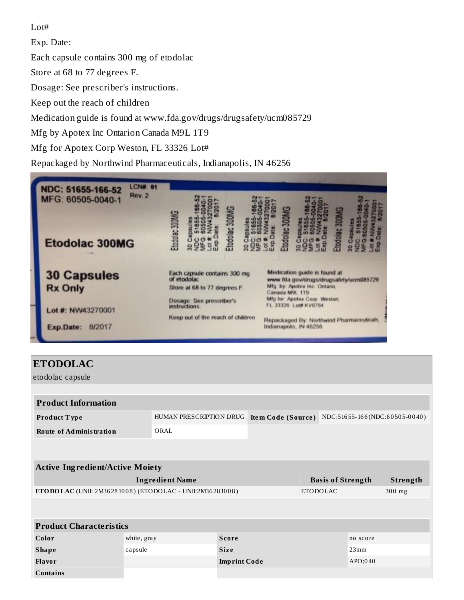Lot#

Exp. Date:

Each capsule contains 300 mg of etodolac

Store at 68 to 77 degrees F.

Dosage: See prescriber's instructions.

Keep out the reach of children

## Medication guide is found at www.fda.gov/drugs/drugsafety/ucm085729

Mfg by Apotex Inc Ontarion Canada M9L 1T9

Mfg for Apotex Corp Weston, FL 33326 Lot#

Repackaged by Northwind Pharmaceuticals, Indianapolis, IN 46256



| <b>ETODOLAC</b>                                          |             |                         |                     |                                                  |                 |          |          |        |
|----------------------------------------------------------|-------------|-------------------------|---------------------|--------------------------------------------------|-----------------|----------|----------|--------|
| etodolac capsule                                         |             |                         |                     |                                                  |                 |          |          |        |
|                                                          |             |                         |                     |                                                  |                 |          |          |        |
| <b>Product Information</b>                               |             |                         |                     |                                                  |                 |          |          |        |
| Product Type                                             |             | HUMAN PRESCRIPTION DRUG |                     | Item Code (Source) NDC:51655-166(NDC:60505-0040) |                 |          |          |        |
| <b>Route of Administration</b>                           |             | ORAL                    |                     |                                                  |                 |          |          |        |
|                                                          |             |                         |                     |                                                  |                 |          |          |        |
|                                                          |             |                         |                     |                                                  |                 |          |          |        |
| <b>Active Ingredient/Active Moiety</b>                   |             |                         |                     |                                                  |                 |          |          |        |
| <b>Ingredient Name</b><br><b>Basis of Strength</b>       |             |                         |                     |                                                  |                 | Strength |          |        |
| ETODOLAC (UNII: 2M36281008) (ETODOLAC - UNII:2M36281008) |             |                         |                     |                                                  | <b>ETODOLAC</b> |          |          | 300 mg |
|                                                          |             |                         |                     |                                                  |                 |          |          |        |
|                                                          |             |                         |                     |                                                  |                 |          |          |        |
| <b>Product Characteristics</b>                           |             |                         |                     |                                                  |                 |          |          |        |
| Color                                                    | white, gray |                         | <b>Score</b>        |                                                  |                 |          | no score |        |
| <b>Shape</b>                                             | capsule     |                         | <b>Size</b>         |                                                  |                 |          | 23mm     |        |
| Flavor                                                   |             |                         | <b>Imprint Code</b> |                                                  |                 |          | APO;040  |        |
| <b>Contains</b>                                          |             |                         |                     |                                                  |                 |          |          |        |